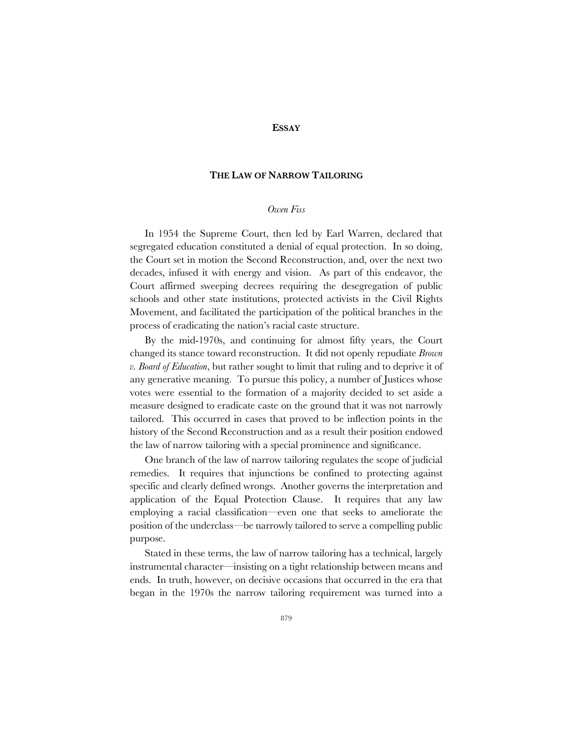## **ESSAY**

# **THE LAW OF NARROW TAILORING**

### *Owen Fiss*

In 1954 the Supreme Court, then led by Earl Warren, declared that segregated education constituted a denial of equal protection. In so doing, the Court set in motion the Second Reconstruction, and, over the next two decades, infused it with energy and vision. As part of this endeavor, the Court affirmed sweeping decrees requiring the desegregation of public schools and other state institutions, protected activists in the Civil Rights Movement, and facilitated the participation of the political branches in the process of eradicating the nation's racial caste structure.

By the mid-1970s, and continuing for almost fifty years, the Court changed its stance toward reconstruction. It did not openly repudiate *Brown v. Board of Education*, but rather sought to limit that ruling and to deprive it of any generative meaning. To pursue this policy, a number of Justices whose votes were essential to the formation of a majority decided to set aside a measure designed to eradicate caste on the ground that it was not narrowly tailored. This occurred in cases that proved to be inflection points in the history of the Second Reconstruction and as a result their position endowed the law of narrow tailoring with a special prominence and significance.

One branch of the law of narrow tailoring regulates the scope of judicial remedies. It requires that injunctions be confined to protecting against specific and clearly defined wrongs. Another governs the interpretation and application of the Equal Protection Clause. It requires that any law employing a racial classification—even one that seeks to ameliorate the position of the underclass—be narrowly tailored to serve a compelling public purpose.

Stated in these terms, the law of narrow tailoring has a technical, largely instrumental character—insisting on a tight relationship between means and ends. In truth, however, on decisive occasions that occurred in the era that began in the 1970s the narrow tailoring requirement was turned into a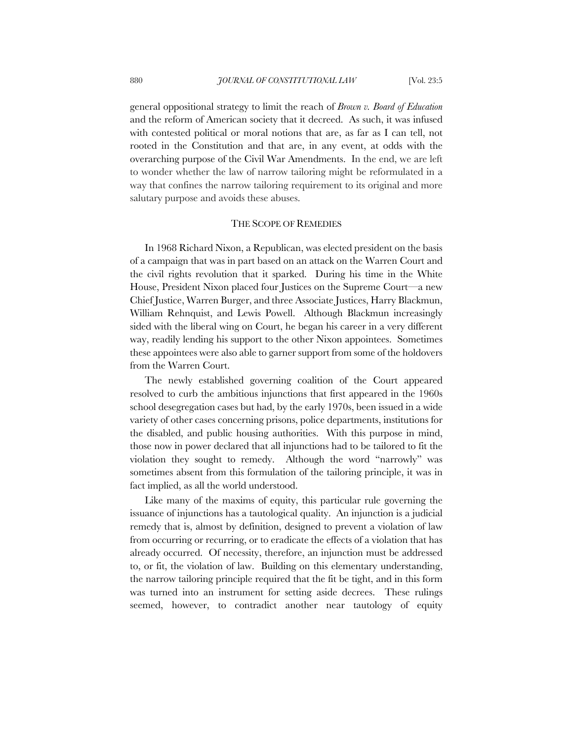general oppositional strategy to limit the reach of *Brown v. Board of Education* and the reform of American society that it decreed. As such, it was infused with contested political or moral notions that are, as far as I can tell, not rooted in the Constitution and that are, in any event, at odds with the overarching purpose of the Civil War Amendments. In the end, we are left to wonder whether the law of narrow tailoring might be reformulated in a way that confines the narrow tailoring requirement to its original and more salutary purpose and avoids these abuses.

## THE SCOPE OF REMEDIES

In 1968 Richard Nixon, a Republican, was elected president on the basis of a campaign that was in part based on an attack on the Warren Court and the civil rights revolution that it sparked. During his time in the White House, President Nixon placed four Justices on the Supreme Court—a new Chief Justice, Warren Burger, and three Associate Justices, Harry Blackmun, William Rehnquist, and Lewis Powell. Although Blackmun increasingly sided with the liberal wing on Court, he began his career in a very different way, readily lending his support to the other Nixon appointees. Sometimes these appointees were also able to garner support from some of the holdovers from the Warren Court.

The newly established governing coalition of the Court appeared resolved to curb the ambitious injunctions that first appeared in the 1960s school desegregation cases but had, by the early 1970s, been issued in a wide variety of other cases concerning prisons, police departments, institutions for the disabled, and public housing authorities. With this purpose in mind, those now in power declared that all injunctions had to be tailored to fit the violation they sought to remedy. Although the word "narrowly" was sometimes absent from this formulation of the tailoring principle, it was in fact implied, as all the world understood.

Like many of the maxims of equity, this particular rule governing the issuance of injunctions has a tautological quality. An injunction is a judicial remedy that is, almost by definition, designed to prevent a violation of law from occurring or recurring, or to eradicate the effects of a violation that has already occurred. Of necessity, therefore, an injunction must be addressed to, or fit, the violation of law. Building on this elementary understanding, the narrow tailoring principle required that the fit be tight, and in this form was turned into an instrument for setting aside decrees. These rulings seemed, however, to contradict another near tautology of equity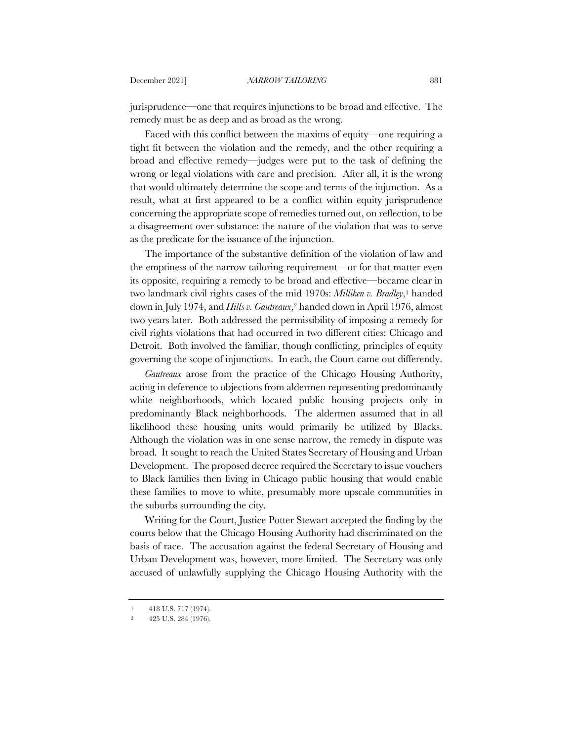jurisprudence—one that requires injunctions to be broad and effective. The remedy must be as deep and as broad as the wrong.

Faced with this conflict between the maxims of equity—one requiring a tight fit between the violation and the remedy, and the other requiring a broad and effective remedy—judges were put to the task of defining the wrong or legal violations with care and precision. After all, it is the wrong that would ultimately determine the scope and terms of the injunction. As a result, what at first appeared to be a conflict within equity jurisprudence concerning the appropriate scope of remedies turned out, on reflection, to be a disagreement over substance: the nature of the violation that was to serve as the predicate for the issuance of the injunction.

The importance of the substantive definition of the violation of law and the emptiness of the narrow tailoring requirement—or for that matter even its opposite, requiring a remedy to be broad and effective—became clear in two landmark civil rights cases of the mid 1970s: *Milliken v. Bradley*,1 handed down in July 1974, and *Hills v. Gautreaux*,2 handed down in April 1976, almost two years later. Both addressed the permissibility of imposing a remedy for civil rights violations that had occurred in two different cities: Chicago and Detroit. Both involved the familiar, though conflicting, principles of equity governing the scope of injunctions. In each, the Court came out differently.

*Gautreaux* arose from the practice of the Chicago Housing Authority, acting in deference to objections from aldermen representing predominantly white neighborhoods, which located public housing projects only in predominantly Black neighborhoods. The aldermen assumed that in all likelihood these housing units would primarily be utilized by Blacks. Although the violation was in one sense narrow, the remedy in dispute was broad. It sought to reach the United States Secretary of Housing and Urban Development. The proposed decree required the Secretary to issue vouchers to Black families then living in Chicago public housing that would enable these families to move to white, presumably more upscale communities in the suburbs surrounding the city.

Writing for the Court, Justice Potter Stewart accepted the finding by the courts below that the Chicago Housing Authority had discriminated on the basis of race. The accusation against the federal Secretary of Housing and Urban Development was, however, more limited. The Secretary was only accused of unlawfully supplying the Chicago Housing Authority with the

<sup>1</sup> 418 U.S. 717 (1974).

<sup>2</sup> 425 U.S. 284 (1976).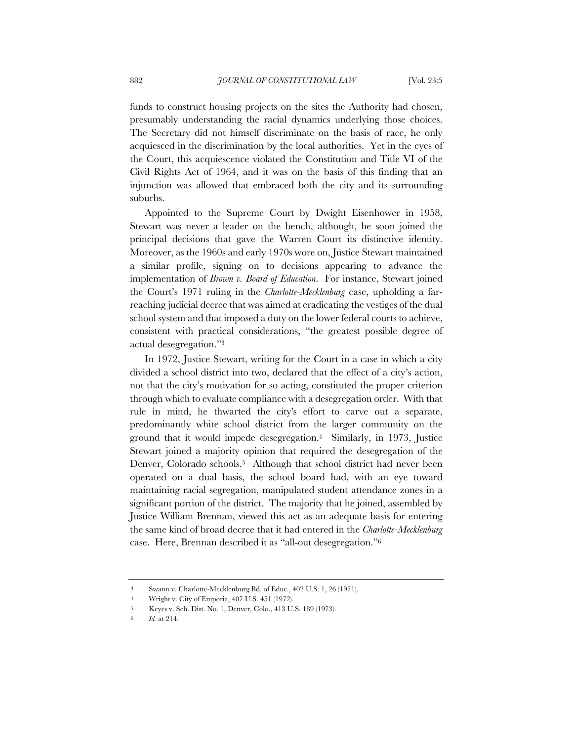funds to construct housing projects on the sites the Authority had chosen, presumably understanding the racial dynamics underlying those choices. The Secretary did not himself discriminate on the basis of race, he only acquiesced in the discrimination by the local authorities. Yet in the eyes of the Court, this acquiescence violated the Constitution and Title VI of the Civil Rights Act of 1964, and it was on the basis of this finding that an injunction was allowed that embraced both the city and its surrounding suburbs.

Appointed to the Supreme Court by Dwight Eisenhower in 1958, Stewart was never a leader on the bench, although, he soon joined the principal decisions that gave the Warren Court its distinctive identity. Moreover, as the 1960s and early 1970s wore on, Justice Stewart maintained a similar profile, signing on to decisions appearing to advance the implementation of *Brown v. Board of Education*. For instance, Stewart joined the Court's 1971 ruling in the *Charlotte-Mecklenburg* case, upholding a farreaching judicial decree that was aimed at eradicating the vestiges of the dual school system and that imposed a duty on the lower federal courts to achieve, consistent with practical considerations, "the greatest possible degree of actual desegregation."3

In 1972, Justice Stewart, writing for the Court in a case in which a city divided a school district into two, declared that the effect of a city's action, not that the city's motivation for so acting, constituted the proper criterion through which to evaluate compliance with a desegregation order. With that rule in mind, he thwarted the city's effort to carve out a separate, predominantly white school district from the larger community on the ground that it would impede desegregation.4 Similarly, in 1973, Justice Stewart joined a majority opinion that required the desegregation of the Denver, Colorado schools.<sup>5</sup> Although that school district had never been operated on a dual basis, the school board had, with an eye toward maintaining racial segregation, manipulated student attendance zones in a significant portion of the district. The majority that he joined, assembled by Justice William Brennan, viewed this act as an adequate basis for entering the same kind of broad decree that it had entered in the *Charlotte-Mecklenburg* case. Here, Brennan described it as "all-out desegregation."6

<sup>3</sup> Swann v. Charlotte-Mecklenburg Bd. of Educ., 402 U.S. 1, 26 (1971).

<sup>4</sup> Wright v. City of Emporia, 407 U.S. 451 (1972).

<sup>5</sup> Keyes v. Sch. Dist. No. 1, Denver, Colo., 413 U.S. 189 (1973).

<sup>6</sup> *Id.* at 214.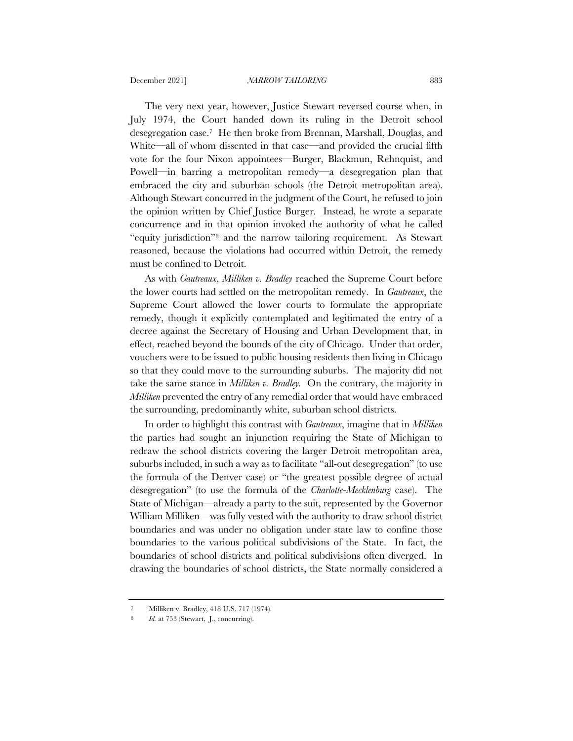The very next year, however, Justice Stewart reversed course when, in July 1974, the Court handed down its ruling in the Detroit school desegregation case.7 He then broke from Brennan, Marshall, Douglas, and White—all of whom dissented in that case—and provided the crucial fifth vote for the four Nixon appointees—Burger, Blackmun, Rehnquist, and Powell—in barring a metropolitan remedy—a desegregation plan that embraced the city and suburban schools (the Detroit metropolitan area). Although Stewart concurred in the judgment of the Court, he refused to join the opinion written by Chief Justice Burger. Instead, he wrote a separate concurrence and in that opinion invoked the authority of what he called "equity jurisdiction"8 and the narrow tailoring requirement. As Stewart reasoned, because the violations had occurred within Detroit, the remedy must be confined to Detroit.

As with *Gautreaux*, *Milliken v. Bradley* reached the Supreme Court before the lower courts had settled on the metropolitan remedy. In *Gautreaux*, the Supreme Court allowed the lower courts to formulate the appropriate remedy, though it explicitly contemplated and legitimated the entry of a decree against the Secretary of Housing and Urban Development that, in effect, reached beyond the bounds of the city of Chicago. Under that order, vouchers were to be issued to public housing residents then living in Chicago so that they could move to the surrounding suburbs. The majority did not take the same stance in *Milliken v. Bradley.* On the contrary, the majority in *Milliken* prevented the entry of any remedial order that would have embraced the surrounding, predominantly white, suburban school districts.

In order to highlight this contrast with *Gautreaux*, imagine that in *Milliken*  the parties had sought an injunction requiring the State of Michigan to redraw the school districts covering the larger Detroit metropolitan area, suburbs included, in such a way as to facilitate "all-out desegregation" (to use the formula of the Denver case) or "the greatest possible degree of actual desegregation" (to use the formula of the *Charlotte-Mecklenburg* case). The State of Michigan—already a party to the suit, represented by the Governor William Milliken—was fully vested with the authority to draw school district boundaries and was under no obligation under state law to confine those boundaries to the various political subdivisions of the State. In fact, the boundaries of school districts and political subdivisions often diverged. In drawing the boundaries of school districts, the State normally considered a

<sup>7</sup> Milliken v. Bradley, 418 U.S. 717 (1974).

Id. at 753 (Stewart, J., concurring).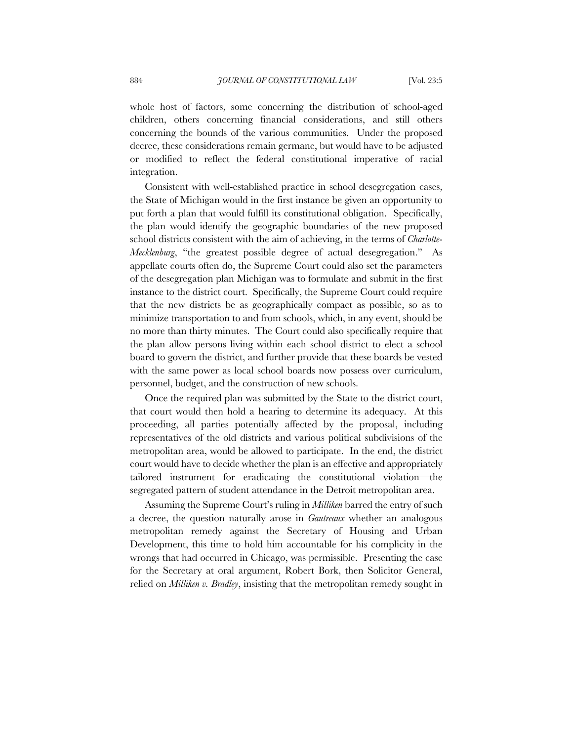whole host of factors, some concerning the distribution of school-aged children, others concerning financial considerations, and still others concerning the bounds of the various communities. Under the proposed decree, these considerations remain germane, but would have to be adjusted or modified to reflect the federal constitutional imperative of racial integration.

Consistent with well-established practice in school desegregation cases, the State of Michigan would in the first instance be given an opportunity to put forth a plan that would fulfill its constitutional obligation. Specifically, the plan would identify the geographic boundaries of the new proposed school districts consistent with the aim of achieving, in the terms of *Charlotte*-*Mecklenburg*, "the greatest possible degree of actual desegregation." As appellate courts often do, the Supreme Court could also set the parameters of the desegregation plan Michigan was to formulate and submit in the first instance to the district court. Specifically, the Supreme Court could require that the new districts be as geographically compact as possible, so as to minimize transportation to and from schools, which, in any event, should be no more than thirty minutes. The Court could also specifically require that the plan allow persons living within each school district to elect a school board to govern the district, and further provide that these boards be vested with the same power as local school boards now possess over curriculum, personnel, budget, and the construction of new schools.

Once the required plan was submitted by the State to the district court, that court would then hold a hearing to determine its adequacy. At this proceeding, all parties potentially affected by the proposal, including representatives of the old districts and various political subdivisions of the metropolitan area, would be allowed to participate. In the end, the district court would have to decide whether the plan is an effective and appropriately tailored instrument for eradicating the constitutional violation—the segregated pattern of student attendance in the Detroit metropolitan area.

Assuming the Supreme Court's ruling in *Milliken* barred the entry of such a decree, the question naturally arose in *Gautreaux* whether an analogous metropolitan remedy against the Secretary of Housing and Urban Development, this time to hold him accountable for his complicity in the wrongs that had occurred in Chicago, was permissible. Presenting the case for the Secretary at oral argument, Robert Bork, then Solicitor General, relied on *Milliken v. Bradley*, insisting that the metropolitan remedy sought in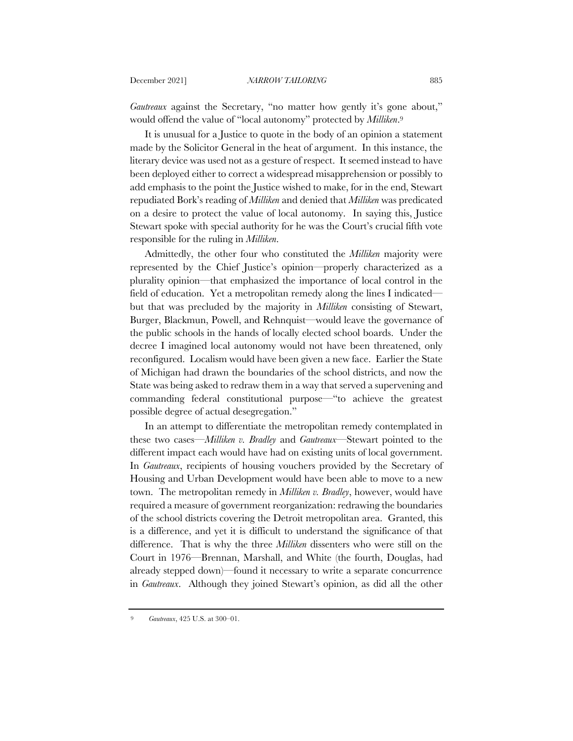*Gautreaux* against the Secretary, "no matter how gently it's gone about," would offend the value of "local autonomy" protected by *Milliken*.9

It is unusual for a Justice to quote in the body of an opinion a statement made by the Solicitor General in the heat of argument. In this instance, the literary device was used not as a gesture of respect. It seemed instead to have been deployed either to correct a widespread misapprehension or possibly to add emphasis to the point the Justice wished to make, for in the end, Stewart repudiated Bork's reading of *Milliken* and denied that *Milliken* was predicated on a desire to protect the value of local autonomy. In saying this, Justice Stewart spoke with special authority for he was the Court's crucial fifth vote responsible for the ruling in *Milliken*.

Admittedly, the other four who constituted the *Milliken* majority were represented by the Chief Justice's opinion—properly characterized as a plurality opinion—that emphasized the importance of local control in the field of education. Yet a metropolitan remedy along the lines I indicated but that was precluded by the majority in *Milliken* consisting of Stewart, Burger, Blackmun, Powell, and Rehnquist—would leave the governance of the public schools in the hands of locally elected school boards. Under the decree I imagined local autonomy would not have been threatened, only reconfigured. Localism would have been given a new face. Earlier the State of Michigan had drawn the boundaries of the school districts, and now the State was being asked to redraw them in a way that served a supervening and commanding federal constitutional purpose—"to achieve the greatest possible degree of actual desegregation."

In an attempt to differentiate the metropolitan remedy contemplated in these two cases—*Milliken v. Bradley* and *Gautreaux*—Stewart pointed to the different impact each would have had on existing units of local government. In *Gautreaux*, recipients of housing vouchers provided by the Secretary of Housing and Urban Development would have been able to move to a new town. The metropolitan remedy in *Milliken v. Bradley*, however, would have required a measure of government reorganization: redrawing the boundaries of the school districts covering the Detroit metropolitan area. Granted, this is a difference, and yet it is difficult to understand the significance of that difference. That is why the three *Milliken* dissenters who were still on the Court in 1976—Brennan, Marshall, and White (the fourth, Douglas, had already stepped down)—found it necessary to write a separate concurrence in *Gautreaux*. Although they joined Stewart's opinion, as did all the other

<sup>9</sup> *Gautreaux*, 425 U.S. at 300–01.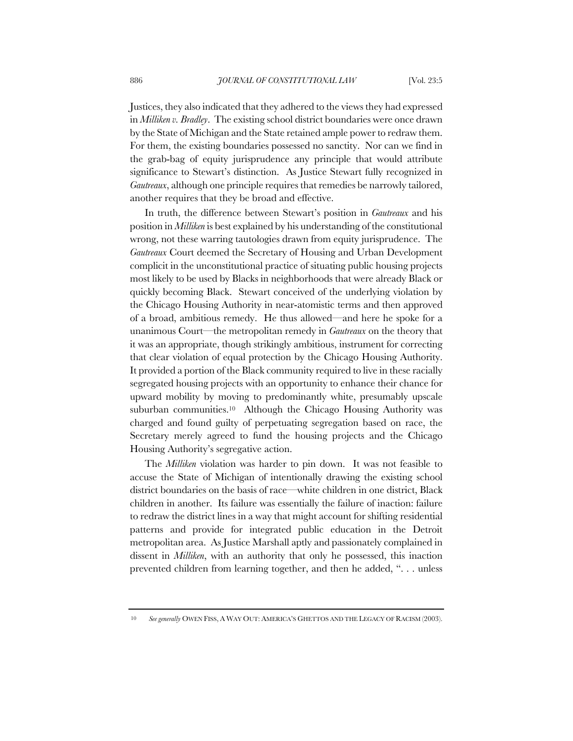Justices, they also indicated that they adhered to the views they had expressed in *Milliken v. Bradley*. The existing school district boundaries were once drawn by the State of Michigan and the State retained ample power to redraw them. For them, the existing boundaries possessed no sanctity. Nor can we find in the grab-bag of equity jurisprudence any principle that would attribute significance to Stewart's distinction. As Justice Stewart fully recognized in *Gautreaux*, although one principle requires that remedies be narrowly tailored, another requires that they be broad and effective.

In truth, the difference between Stewart's position in *Gautreaux* and his position in *Milliken* is best explained by his understanding of the constitutional wrong, not these warring tautologies drawn from equity jurisprudence. The *Gautreaux* Court deemed the Secretary of Housing and Urban Development complicit in the unconstitutional practice of situating public housing projects most likely to be used by Blacks in neighborhoods that were already Black or quickly becoming Black. Stewart conceived of the underlying violation by the Chicago Housing Authority in near-atomistic terms and then approved of a broad, ambitious remedy. He thus allowed—and here he spoke for a unanimous Court—the metropolitan remedy in *Gautreaux* on the theory that it was an appropriate, though strikingly ambitious, instrument for correcting that clear violation of equal protection by the Chicago Housing Authority. It provided a portion of the Black community required to live in these racially segregated housing projects with an opportunity to enhance their chance for upward mobility by moving to predominantly white, presumably upscale suburban communities.<sup>10</sup> Although the Chicago Housing Authority was charged and found guilty of perpetuating segregation based on race, the Secretary merely agreed to fund the housing projects and the Chicago Housing Authority's segregative action.

The *Milliken* violation was harder to pin down. It was not feasible to accuse the State of Michigan of intentionally drawing the existing school district boundaries on the basis of race—white children in one district, Black children in another. Its failure was essentially the failure of inaction: failure to redraw the district lines in a way that might account for shifting residential patterns and provide for integrated public education in the Detroit metropolitan area. As Justice Marshall aptly and passionately complained in dissent in *Milliken*, with an authority that only he possessed, this inaction prevented children from learning together, and then he added, ". . . unless

<sup>10</sup> *See generally* OWEN FISS, A WAY OUT: AMERICA'S GHETTOS AND THE LEGACY OF RACISM (2003).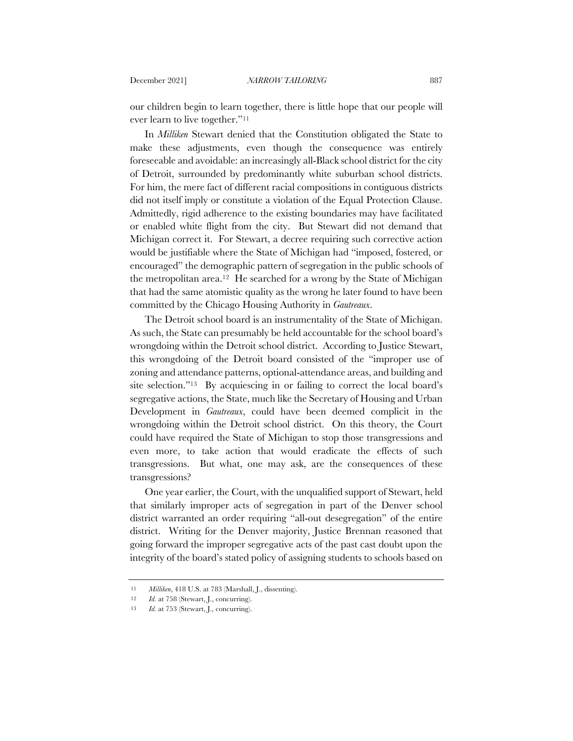our children begin to learn together, there is little hope that our people will ever learn to live together."11

In *Milliken* Stewart denied that the Constitution obligated the State to make these adjustments, even though the consequence was entirely foreseeable and avoidable: an increasingly all-Black school district for the city of Detroit, surrounded by predominantly white suburban school districts. For him, the mere fact of different racial compositions in contiguous districts did not itself imply or constitute a violation of the Equal Protection Clause. Admittedly, rigid adherence to the existing boundaries may have facilitated or enabled white flight from the city. But Stewart did not demand that Michigan correct it. For Stewart, a decree requiring such corrective action would be justifiable where the State of Michigan had "imposed, fostered, or encouraged" the demographic pattern of segregation in the public schools of the metropolitan area.12 He searched for a wrong by the State of Michigan that had the same atomistic quality as the wrong he later found to have been committed by the Chicago Housing Authority in *Gautreaux*.

The Detroit school board is an instrumentality of the State of Michigan. As such, the State can presumably be held accountable for the school board's wrongdoing within the Detroit school district. According to Justice Stewart, this wrongdoing of the Detroit board consisted of the "improper use of zoning and attendance patterns, optional-attendance areas, and building and site selection."13 By acquiescing in or failing to correct the local board's segregative actions, the State, much like the Secretary of Housing and Urban Development in *Gautreaux*, could have been deemed complicit in the wrongdoing within the Detroit school district. On this theory, the Court could have required the State of Michigan to stop those transgressions and even more, to take action that would eradicate the effects of such transgressions. But what, one may ask, are the consequences of these transgressions?

One year earlier, the Court, with the unqualified support of Stewart, held that similarly improper acts of segregation in part of the Denver school district warranted an order requiring "all-out desegregation" of the entire district. Writing for the Denver majority, Justice Brennan reasoned that going forward the improper segregative acts of the past cast doubt upon the integrity of the board's stated policy of assigning students to schools based on

<sup>11</sup> *Milliken*, 418 U.S. at 783 (Marshall, J., dissenting).

<sup>12</sup> *Id.* at 758 (Stewart, J., concurring).

<sup>13</sup> *Id.* at 753 (Stewart, J., concurring).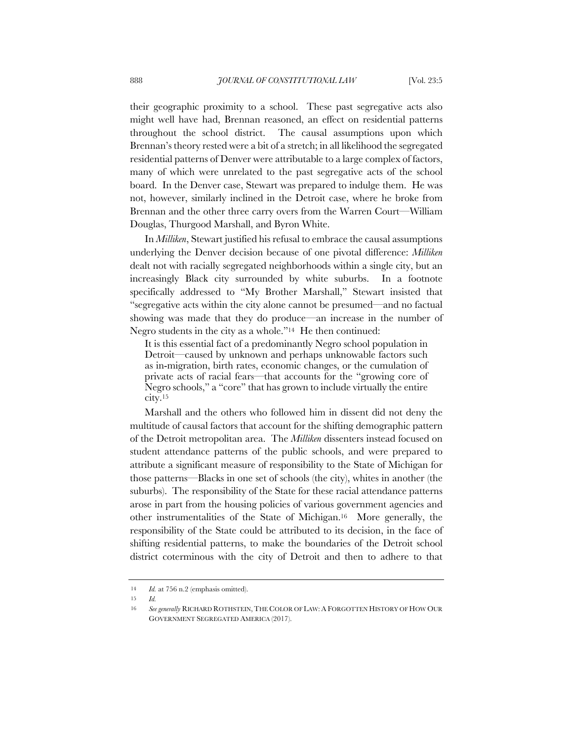their geographic proximity to a school. These past segregative acts also might well have had, Brennan reasoned, an effect on residential patterns throughout the school district. The causal assumptions upon which Brennan's theory rested were a bit of a stretch; in all likelihood the segregated residential patterns of Denver were attributable to a large complex of factors, many of which were unrelated to the past segregative acts of the school board. In the Denver case, Stewart was prepared to indulge them. He was not, however, similarly inclined in the Detroit case, where he broke from Brennan and the other three carry overs from the Warren Court—William Douglas, Thurgood Marshall, and Byron White.

In *Milliken*, Stewart justified his refusal to embrace the causal assumptions underlying the Denver decision because of one pivotal difference: *Milliken* dealt not with racially segregated neighborhoods within a single city, but an increasingly Black city surrounded by white suburbs. In a footnote specifically addressed to "My Brother Marshall," Stewart insisted that "segregative acts within the city alone cannot be presumed—and no factual showing was made that they do produce—an increase in the number of Negro students in the city as a whole."14 He then continued:

It is this essential fact of a predominantly Negro school population in Detroit—caused by unknown and perhaps unknowable factors such as in-migration, birth rates, economic changes, or the cumulation of private acts of racial fears—that accounts for the "growing core of Negro schools," a "core" that has grown to include virtually the entire city.15

Marshall and the others who followed him in dissent did not deny the multitude of causal factors that account for the shifting demographic pattern of the Detroit metropolitan area. The *Milliken* dissenters instead focused on student attendance patterns of the public schools, and were prepared to attribute a significant measure of responsibility to the State of Michigan for those patterns—Blacks in one set of schools (the city), whites in another (the suburbs). The responsibility of the State for these racial attendance patterns arose in part from the housing policies of various government agencies and other instrumentalities of the State of Michigan.16 More generally, the responsibility of the State could be attributed to its decision, in the face of shifting residential patterns, to make the boundaries of the Detroit school district coterminous with the city of Detroit and then to adhere to that

<sup>14</sup> *Id.* at 756 n.2 (emphasis omitted).

<sup>15</sup> *Id.*

<sup>16</sup> *See generally* RICHARD ROTHSTEIN, THE COLOR OF LAW: A FORGOTTEN HISTORY OF HOW OUR GOVERNMENT SEGREGATED AMERICA (2017).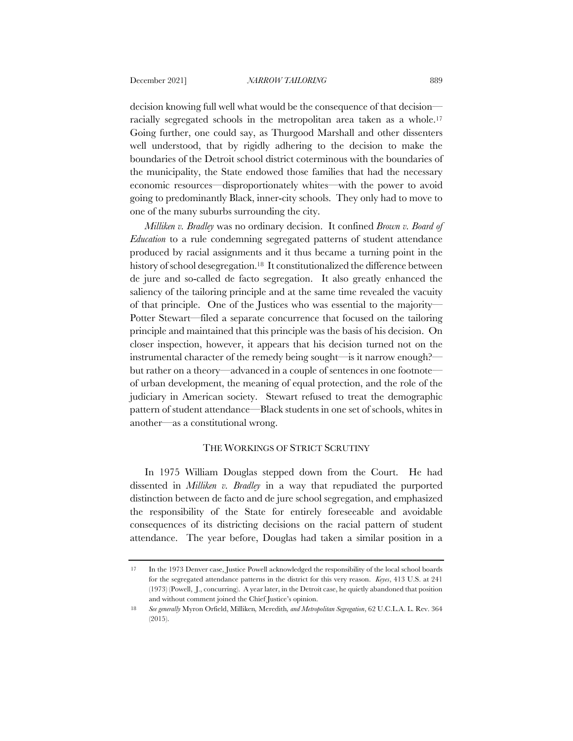decision knowing full well what would be the consequence of that decision racially segregated schools in the metropolitan area taken as a whole.17 Going further, one could say, as Thurgood Marshall and other dissenters well understood, that by rigidly adhering to the decision to make the boundaries of the Detroit school district coterminous with the boundaries of the municipality, the State endowed those families that had the necessary economic resources—disproportionately whites—with the power to avoid going to predominantly Black, inner-city schools. They only had to move to one of the many suburbs surrounding the city.

*Milliken v. Bradley* was no ordinary decision. It confined *Brown v. Board of Education* to a rule condemning segregated patterns of student attendance produced by racial assignments and it thus became a turning point in the history of school desegregation.<sup>18</sup> It constitutionalized the difference between de jure and so-called de facto segregation. It also greatly enhanced the saliency of the tailoring principle and at the same time revealed the vacuity of that principle. One of the Justices who was essential to the majority— Potter Stewart—filed a separate concurrence that focused on the tailoring principle and maintained that this principle was the basis of his decision. On closer inspection, however, it appears that his decision turned not on the instrumental character of the remedy being sought—is it narrow enough? but rather on a theory—advanced in a couple of sentences in one footnote of urban development, the meaning of equal protection, and the role of the judiciary in American society. Stewart refused to treat the demographic pattern of student attendance—Black students in one set of schools, whites in another—as a constitutional wrong.

# THE WORKINGS OF STRICT SCRUTINY

In 1975 William Douglas stepped down from the Court. He had dissented in *Milliken v. Bradley* in a way that repudiated the purported distinction between de facto and de jure school segregation, and emphasized the responsibility of the State for entirely foreseeable and avoidable consequences of its districting decisions on the racial pattern of student attendance. The year before, Douglas had taken a similar position in a

<sup>17</sup> In the 1973 Denver case, Justice Powell acknowledged the responsibility of the local school boards for the segregated attendance patterns in the district for this very reason. *Keyes*, 413 U.S. at 241 (1973) (Powell, J., concurring). A year later, in the Detroit case, he quietly abandoned that position and without comment joined the Chief Justice's opinion.

<sup>18</sup> *See generally* Myron Orfield, Milliken*,* Meredith*, and Metropolitan Segregation*, 62 U.C.L.A. L. Rev. 364 (2015).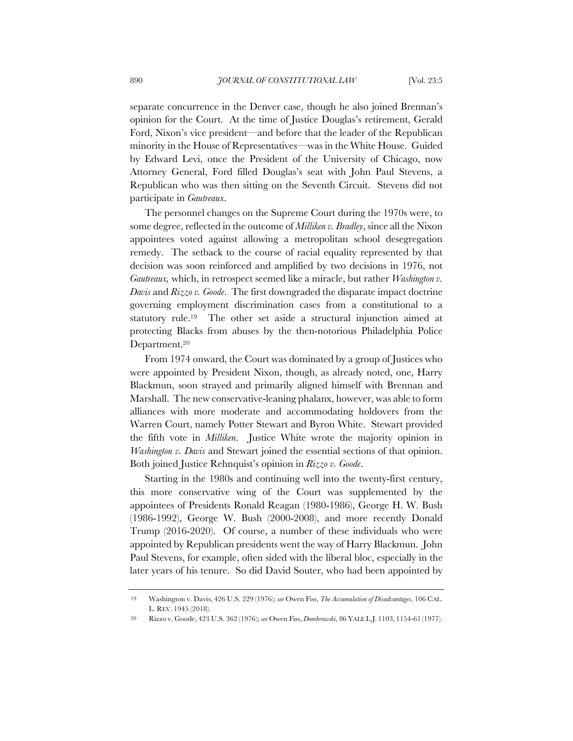separate concurrence in the Denver case, though he also joined Brennan's opinion for the Court. At the time of Justice Douglas's retirement, Gerald Ford, Nixon's vice president—and before that the leader of the Republican minority in the House of Representatives—was in the White House. Guided by Edward Levi, once the President of the University of Chicago, now Attorney General, Ford filled Douglas's seat with John Paul Stevens, a Republican who was then sitting on the Seventh Circuit. Stevens did not participate in *Gautreaux*.

The personnel changes on the Supreme Court during the 1970s were, to some degree, reflected in the outcome of *Milliken v. Bradley*, since all the Nixon appointees voted against allowing a metropolitan school desegregation remedy. The setback to the course of racial equality represented by that decision was soon reinforced and amplified by two decisions in 1976, not *Gautreaux,* which, in retrospect seemed like a miracle, but rather *Washington v. Davis* and *Rizzo v. Goode*. The first downgraded the disparate impact doctrine governing employment discrimination cases from a constitutional to a statutory rule.19 The other set aside a structural injunction aimed at protecting Blacks from abuses by the then-notorious Philadelphia Police Department.20

From 1974 onward, the Court was dominated by a group of Justices who were appointed by President Nixon, though, as already noted, one, Harry Blackmun, soon strayed and primarily aligned himself with Brennan and Marshall. The new conservative-leaning phalanx, however, was able to form alliances with more moderate and accommodating holdovers from the Warren Court, namely Potter Stewart and Byron White. Stewart provided the fifth vote in *Milliken*. Justice White wrote the majority opinion in *Washington v. Davis* and Stewart joined the essential sections of that opinion. Both joined Justice Rehnquist's opinion in *Rizzo v. Goode*.

Starting in the 1980s and continuing well into the twenty-first century, this more conservative wing of the Court was supplemented by the appointees of Presidents Ronald Reagan (1980-1986), George H. W. Bush (1986-1992), George W. Bush (2000-2008), and more recently Donald Trump (2016-2020). Of course, a number of these individuals who were appointed by Republican presidents went the way of Harry Blackmun. John Paul Stevens, for example, often sided with the liberal bloc, especially in the later years of his tenure. So did David Souter, who had been appointed by

<sup>19</sup> Washington v. Davis, 426 U.S. 229 (1976); *see* Owen Fiss, *The Accumulation of Disadvantages*, 106 CAL. L. REV. 1945 (2018).

<sup>20</sup> Rizzo v. Goode, 423 U.S. 362 (1976); *see* Owen Fiss, *Dombrowski*, 86 YALE L.J. 1103, 1154-61 (1977).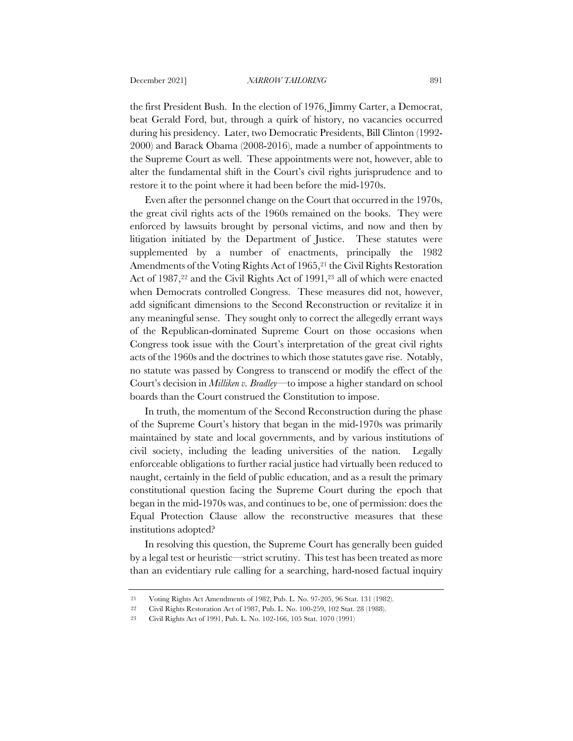the first President Bush. In the election of 1976, Jimmy Carter, a Democrat, beat Gerald Ford, but, through a quirk of history, no vacancies occurred during his presidency. Later, two Democratic Presidents, Bill Clinton (1992- 2000) and Barack Obama (2008-2016), made a number of appointments to the Supreme Court as well. These appointments were not, however, able to alter the fundamental shift in the Court's civil rights jurisprudence and to restore it to the point where it had been before the mid-1970s.

Even after the personnel change on the Court that occurred in the 1970s, the great civil rights acts of the 1960s remained on the books. They were enforced by lawsuits brought by personal victims, and now and then by litigation initiated by the Department of Justice. These statutes were supplemented by a number of enactments, principally the 1982 Amendments of the Voting Rights Act of 1965,<sup>21</sup> the Civil Rights Restoration Act of 1987,22 and the Civil Rights Act of 1991,23 all of which were enacted when Democrats controlled Congress. These measures did not, however, add significant dimensions to the Second Reconstruction or revitalize it in any meaningful sense. They sought only to correct the allegedly errant ways of the Republican-dominated Supreme Court on those occasions when Congress took issue with the Court's interpretation of the great civil rights acts of the 1960s and the doctrines to which those statutes gave rise. Notably, no statute was passed by Congress to transcend or modify the effect of the Court's decision in *Milliken v. Bradley—*to impose a higher standard on school boards than the Court construed the Constitution to impose.

In truth, the momentum of the Second Reconstruction during the phase of the Supreme Court's history that began in the mid-1970s was primarily maintained by state and local governments, and by various institutions of civil society, including the leading universities of the nation. Legally enforceable obligations to further racial justice had virtually been reduced to naught, certainly in the field of public education, and as a result the primary constitutional question facing the Supreme Court during the epoch that began in the mid-1970s was, and continues to be, one of permission: does the Equal Protection Clause allow the reconstructive measures that these institutions adopted?

In resolving this question, the Supreme Court has generally been guided by a legal test or heuristic—strict scrutiny. This test has been treated as more than an evidentiary rule calling for a searching, hard-nosed factual inquiry

<sup>21</sup> Voting Rights Act Amendments of 1982, Pub. L. No. 97-205, 96 Stat. 131 (1982).

<sup>22</sup> Civil Rights Restoration Act of 1987, Pub. L. No. 100-259, 102 Stat. 28 (1988).

<sup>23</sup> Civil Rights Act of 1991, Pub. L. No. 102-166, 105 Stat. 1070 (1991)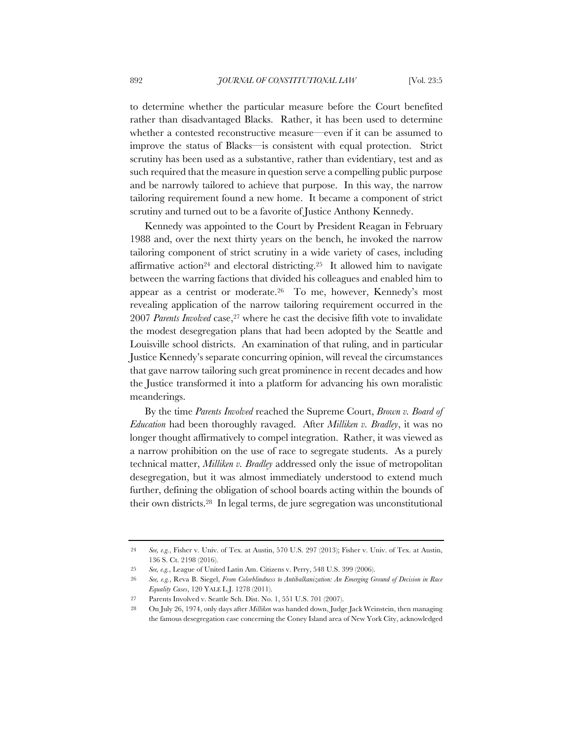to determine whether the particular measure before the Court benefited rather than disadvantaged Blacks. Rather, it has been used to determine whether a contested reconstructive measure—even if it can be assumed to improve the status of Blacks—is consistent with equal protection. Strict scrutiny has been used as a substantive, rather than evidentiary, test and as such required that the measure in question serve a compelling public purpose and be narrowly tailored to achieve that purpose. In this way, the narrow tailoring requirement found a new home. It became a component of strict scrutiny and turned out to be a favorite of Justice Anthony Kennedy.

Kennedy was appointed to the Court by President Reagan in February 1988 and, over the next thirty years on the bench, he invoked the narrow tailoring component of strict scrutiny in a wide variety of cases, including affirmative action<sup>24</sup> and electoral districting.<sup>25</sup> It allowed him to navigate between the warring factions that divided his colleagues and enabled him to appear as a centrist or moderate.26 To me, however, Kennedy's most revealing application of the narrow tailoring requirement occurred in the 2007 *Parents Involved* case,27 where he cast the decisive fifth vote to invalidate the modest desegregation plans that had been adopted by the Seattle and Louisville school districts. An examination of that ruling, and in particular Justice Kennedy's separate concurring opinion, will reveal the circumstances that gave narrow tailoring such great prominence in recent decades and how the Justice transformed it into a platform for advancing his own moralistic meanderings.

By the time *Parents Involved* reached the Supreme Court, *Brown v. Board of Education* had been thoroughly ravaged. After *Milliken v. Bradley*, it was no longer thought affirmatively to compel integration. Rather, it was viewed as a narrow prohibition on the use of race to segregate students. As a purely technical matter, *Milliken v. Bradley* addressed only the issue of metropolitan desegregation, but it was almost immediately understood to extend much further, defining the obligation of school boards acting within the bounds of their own districts.28 In legal terms, de jure segregation was unconstitutional

<sup>24</sup> *See, e.g.*, Fisher v. Univ. of Tex. at Austin, 570 U.S. 297 (2013); Fisher v. Univ. of Tex. at Austin, 136 S. Ct. 2198 (2016).

<sup>25</sup> *See, e.g.*, League of United Latin Am. Citizens v. Perry, 548 U.S. 399 (2006).

<sup>26</sup> *See, e.g.*, Reva B. Siegel, *From Colorblindness to Antibalkanization: An Emerging Ground of Decision in Race Equality Cases*, 120 YALE L.J. 1278 (2011).

<sup>27</sup> Parents Involved v. Seattle Sch. Dist. No. 1, 551 U.S. 701 (2007).

<sup>28</sup> On July 26, 1974, only days after *Milliken* was handed down, Judge Jack Weinstein, then managing the famous desegregation case concerning the Coney Island area of New York City, acknowledged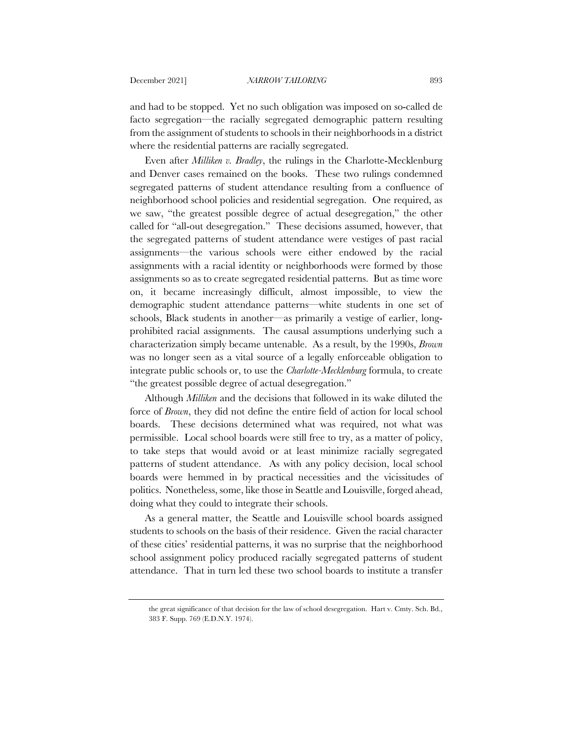and had to be stopped. Yet no such obligation was imposed on so-called de facto segregation—the racially segregated demographic pattern resulting from the assignment of students to schools in their neighborhoods in a district where the residential patterns are racially segregated.

Even after *Milliken v. Bradley*, the rulings in the Charlotte-Mecklenburg and Denver cases remained on the books. These two rulings condemned segregated patterns of student attendance resulting from a confluence of neighborhood school policies and residential segregation. One required, as we saw, "the greatest possible degree of actual desegregation," the other called for "all-out desegregation." These decisions assumed, however, that the segregated patterns of student attendance were vestiges of past racial assignments—the various schools were either endowed by the racial assignments with a racial identity or neighborhoods were formed by those assignments so as to create segregated residential patterns. But as time wore on, it became increasingly difficult, almost impossible, to view the demographic student attendance patterns—white students in one set of schools, Black students in another—as primarily a vestige of earlier, longprohibited racial assignments. The causal assumptions underlying such a characterization simply became untenable. As a result, by the 1990s, *Brown* was no longer seen as a vital source of a legally enforceable obligation to integrate public schools or, to use the *Charlotte-Mecklenburg* formula, to create "the greatest possible degree of actual desegregation."

Although *Milliken* and the decisions that followed in its wake diluted the force of *Brown*, they did not define the entire field of action for local school boards. These decisions determined what was required, not what was permissible. Local school boards were still free to try, as a matter of policy, to take steps that would avoid or at least minimize racially segregated patterns of student attendance. As with any policy decision, local school boards were hemmed in by practical necessities and the vicissitudes of politics. Nonetheless, some, like those in Seattle and Louisville, forged ahead, doing what they could to integrate their schools.

As a general matter, the Seattle and Louisville school boards assigned students to schools on the basis of their residence. Given the racial character of these cities' residential patterns, it was no surprise that the neighborhood school assignment policy produced racially segregated patterns of student attendance. That in turn led these two school boards to institute a transfer

the great significance of that decision for the law of school desegregation. Hart v. Cmty. Sch. Bd., 383 F. Supp. 769 (E.D.N.Y. 1974).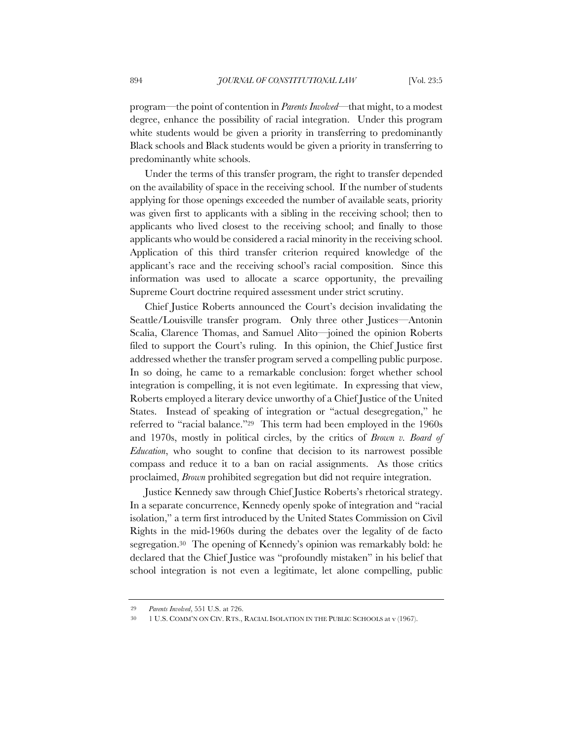program—the point of contention in *Parents Involved*—that might, to a modest degree, enhance the possibility of racial integration. Under this program white students would be given a priority in transferring to predominantly Black schools and Black students would be given a priority in transferring to predominantly white schools.

Under the terms of this transfer program, the right to transfer depended on the availability of space in the receiving school. If the number of students applying for those openings exceeded the number of available seats, priority was given first to applicants with a sibling in the receiving school; then to applicants who lived closest to the receiving school; and finally to those applicants who would be considered a racial minority in the receiving school. Application of this third transfer criterion required knowledge of the applicant's race and the receiving school's racial composition. Since this information was used to allocate a scarce opportunity, the prevailing Supreme Court doctrine required assessment under strict scrutiny.

Chief Justice Roberts announced the Court's decision invalidating the Seattle/Louisville transfer program. Only three other Justices—Antonin Scalia, Clarence Thomas, and Samuel Alito—joined the opinion Roberts filed to support the Court's ruling. In this opinion, the Chief Justice first addressed whether the transfer program served a compelling public purpose. In so doing, he came to a remarkable conclusion: forget whether school integration is compelling, it is not even legitimate. In expressing that view, Roberts employed a literary device unworthy of a Chief Justice of the United States. Instead of speaking of integration or "actual desegregation," he referred to "racial balance."29 This term had been employed in the 1960s and 1970s, mostly in political circles, by the critics of *Brown v. Board of Education*, who sought to confine that decision to its narrowest possible compass and reduce it to a ban on racial assignments. As those critics proclaimed, *Brown* prohibited segregation but did not require integration.

Justice Kennedy saw through Chief Justice Roberts's rhetorical strategy. In a separate concurrence, Kennedy openly spoke of integration and "racial isolation," a term first introduced by the United States Commission on Civil Rights in the mid-1960s during the debates over the legality of de facto segregation.30 The opening of Kennedy's opinion was remarkably bold: he declared that the Chief Justice was "profoundly mistaken" in his belief that school integration is not even a legitimate, let alone compelling, public

<sup>29</sup> *Parents Involved*, 551 U.S. at 726.

<sup>30</sup> 1 U.S. COMM'N ON CIV. RTS., RACIAL ISOLATION IN THE PUBLIC SCHOOLS at v (1967).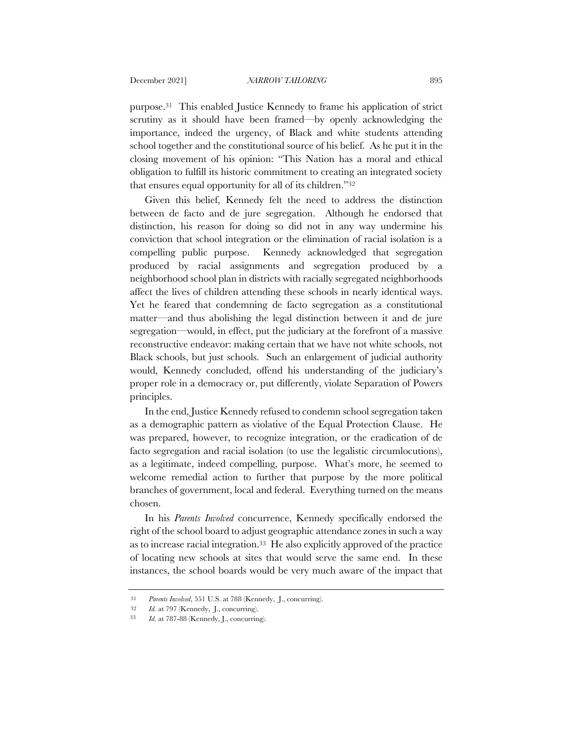purpose.31 This enabled Justice Kennedy to frame his application of strict scrutiny as it should have been framed—by openly acknowledging the importance, indeed the urgency, of Black and white students attending school together and the constitutional source of his belief. As he put it in the closing movement of his opinion: "This Nation has a moral and ethical obligation to fulfill its historic commitment to creating an integrated society that ensures equal opportunity for all of its children."32

Given this belief, Kennedy felt the need to address the distinction between de facto and de jure segregation. Although he endorsed that distinction, his reason for doing so did not in any way undermine his conviction that school integration or the elimination of racial isolation is a compelling public purpose. Kennedy acknowledged that segregation produced by racial assignments and segregation produced by a neighborhood school plan in districts with racially segregated neighborhoods affect the lives of children attending these schools in nearly identical ways. Yet he feared that condemning de facto segregation as a constitutional matter—and thus abolishing the legal distinction between it and de jure segregation—would, in effect, put the judiciary at the forefront of a massive reconstructive endeavor: making certain that we have not white schools, not Black schools, but just schools. Such an enlargement of judicial authority would, Kennedy concluded, offend his understanding of the judiciary's proper role in a democracy or, put differently, violate Separation of Powers principles.

In the end, Justice Kennedy refused to condemn school segregation taken as a demographic pattern as violative of the Equal Protection Clause. He was prepared, however, to recognize integration, or the eradication of de facto segregation and racial isolation (to use the legalistic circumlocutions), as a legitimate, indeed compelling, purpose. What's more, he seemed to welcome remedial action to further that purpose by the more political branches of government, local and federal. Everything turned on the means chosen.

In his *Parents Involved* concurrence, Kennedy specifically endorsed the right of the school board to adjust geographic attendance zones in such a way as to increase racial integration.33 He also explicitly approved of the practice of locating new schools at sites that would serve the same end. In these instances, the school boards would be very much aware of the impact that

<sup>31</sup> *Parents Involved*, 551 U.S. at 788 (Kennedy, J., concurring).

<sup>32</sup> *Id.* at 797 (Kennedy, J., concurring).

<sup>33</sup> *Id.* at 787-88 (Kennedy, J., concurring).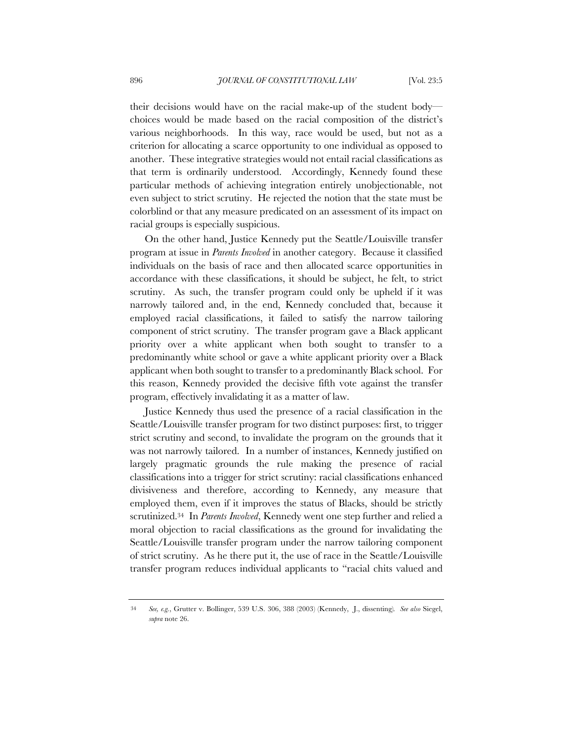their decisions would have on the racial make-up of the student body choices would be made based on the racial composition of the district's various neighborhoods. In this way, race would be used, but not as a criterion for allocating a scarce opportunity to one individual as opposed to another. These integrative strategies would not entail racial classifications as that term is ordinarily understood. Accordingly, Kennedy found these particular methods of achieving integration entirely unobjectionable, not even subject to strict scrutiny. He rejected the notion that the state must be colorblind or that any measure predicated on an assessment of its impact on racial groups is especially suspicious.

On the other hand, Justice Kennedy put the Seattle/Louisville transfer program at issue in *Parents Involved* in another category. Because it classified individuals on the basis of race and then allocated scarce opportunities in accordance with these classifications, it should be subject, he felt, to strict scrutiny. As such, the transfer program could only be upheld if it was narrowly tailored and, in the end, Kennedy concluded that, because it employed racial classifications, it failed to satisfy the narrow tailoring component of strict scrutiny. The transfer program gave a Black applicant priority over a white applicant when both sought to transfer to a predominantly white school or gave a white applicant priority over a Black applicant when both sought to transfer to a predominantly Black school. For this reason, Kennedy provided the decisive fifth vote against the transfer program, effectively invalidating it as a matter of law.

Justice Kennedy thus used the presence of a racial classification in the Seattle/Louisville transfer program for two distinct purposes: first, to trigger strict scrutiny and second, to invalidate the program on the grounds that it was not narrowly tailored. In a number of instances, Kennedy justified on largely pragmatic grounds the rule making the presence of racial classifications into a trigger for strict scrutiny: racial classifications enhanced divisiveness and therefore, according to Kennedy, any measure that employed them, even if it improves the status of Blacks, should be strictly scrutinized.34 In *Parents Involved*, Kennedy went one step further and relied a moral objection to racial classifications as the ground for invalidating the Seattle/Louisville transfer program under the narrow tailoring component of strict scrutiny. As he there put it, the use of race in the Seattle/Louisville transfer program reduces individual applicants to "racial chits valued and

<sup>34</sup> *See, e.g.*, Grutter v. Bollinger, 539 U.S. 306, 388 (2003) (Kennedy, J., dissenting)*. See also* Siegel, *supra* note 26.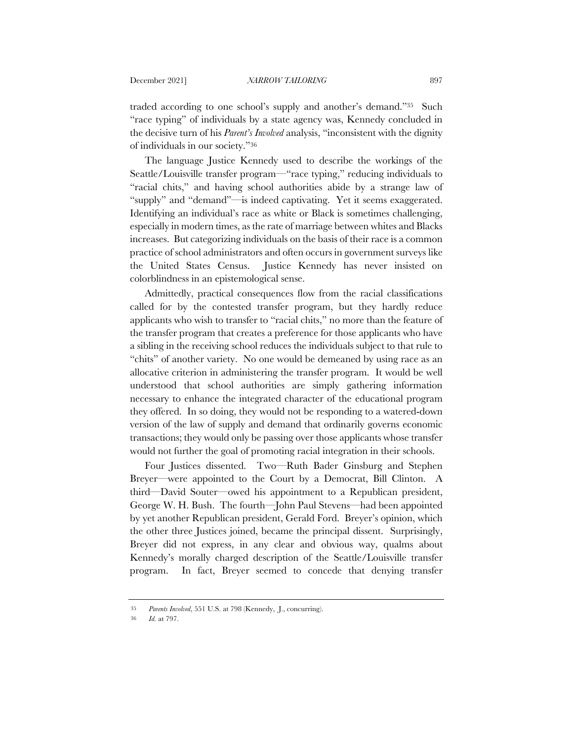traded according to one school's supply and another's demand."35 Such "race typing" of individuals by a state agency was, Kennedy concluded in the decisive turn of his *Parent's Involved* analysis, "inconsistent with the dignity of individuals in our society."36

The language Justice Kennedy used to describe the workings of the Seattle/Louisville transfer program—"race typing," reducing individuals to "racial chits," and having school authorities abide by a strange law of "supply" and "demand"—is indeed captivating. Yet it seems exaggerated. Identifying an individual's race as white or Black is sometimes challenging, especially in modern times, as the rate of marriage between whites and Blacks increases. But categorizing individuals on the basis of their race is a common practice of school administrators and often occurs in government surveys like the United States Census. Justice Kennedy has never insisted on colorblindness in an epistemological sense.

Admittedly, practical consequences flow from the racial classifications called for by the contested transfer program, but they hardly reduce applicants who wish to transfer to "racial chits," no more than the feature of the transfer program that creates a preference for those applicants who have a sibling in the receiving school reduces the individuals subject to that rule to "chits" of another variety. No one would be demeaned by using race as an allocative criterion in administering the transfer program. It would be well understood that school authorities are simply gathering information necessary to enhance the integrated character of the educational program they offered. In so doing, they would not be responding to a watered-down version of the law of supply and demand that ordinarily governs economic transactions; they would only be passing over those applicants whose transfer would not further the goal of promoting racial integration in their schools.

Four Justices dissented. Two—Ruth Bader Ginsburg and Stephen Breyer—were appointed to the Court by a Democrat, Bill Clinton. A third—David Souter—owed his appointment to a Republican president, George W. H. Bush. The fourth—John Paul Stevens—had been appointed by yet another Republican president, Gerald Ford. Breyer's opinion, which the other three Justices joined, became the principal dissent. Surprisingly, Breyer did not express, in any clear and obvious way, qualms about Kennedy's morally charged description of the Seattle/Louisville transfer program. In fact, Breyer seemed to concede that denying transfer

<sup>35</sup> *Parents Involved*, 551 U.S. at 798 (Kennedy, J., concurring).

<sup>36</sup> *Id.* at 797.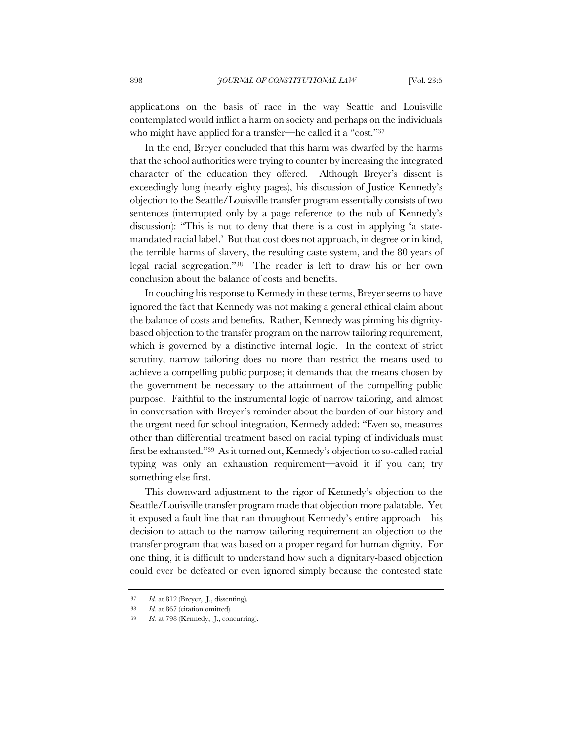applications on the basis of race in the way Seattle and Louisville contemplated would inflict a harm on society and perhaps on the individuals who might have applied for a transfer—he called it a "cost."37

In the end, Breyer concluded that this harm was dwarfed by the harms that the school authorities were trying to counter by increasing the integrated character of the education they offered. Although Breyer's dissent is exceedingly long (nearly eighty pages), his discussion of Justice Kennedy's objection to the Seattle/Louisville transfer program essentially consists of two sentences (interrupted only by a page reference to the nub of Kennedy's discussion): "This is not to deny that there is a cost in applying 'a statemandated racial label.' But that cost does not approach, in degree or in kind, the terrible harms of slavery, the resulting caste system, and the 80 years of legal racial segregation."38 The reader is left to draw his or her own conclusion about the balance of costs and benefits.

In couching his response to Kennedy in these terms, Breyer seems to have ignored the fact that Kennedy was not making a general ethical claim about the balance of costs and benefits. Rather, Kennedy was pinning his dignitybased objection to the transfer program on the narrow tailoring requirement, which is governed by a distinctive internal logic. In the context of strict scrutiny, narrow tailoring does no more than restrict the means used to achieve a compelling public purpose; it demands that the means chosen by the government be necessary to the attainment of the compelling public purpose. Faithful to the instrumental logic of narrow tailoring, and almost in conversation with Breyer's reminder about the burden of our history and the urgent need for school integration, Kennedy added: "Even so, measures other than differential treatment based on racial typing of individuals must first be exhausted."39 As it turned out, Kennedy's objection to so-called racial typing was only an exhaustion requirement—avoid it if you can; try something else first.

This downward adjustment to the rigor of Kennedy's objection to the Seattle/Louisville transfer program made that objection more palatable. Yet it exposed a fault line that ran throughout Kennedy's entire approach—his decision to attach to the narrow tailoring requirement an objection to the transfer program that was based on a proper regard for human dignity. For one thing, it is difficult to understand how such a dignitary-based objection could ever be defeated or even ignored simply because the contested state

<sup>37</sup> *Id.* at 812 (Breyer, J., dissenting).

<sup>38</sup> *Id.* at 867 (citation omitted).

<sup>39</sup> *Id.* at 798 (Kennedy, J., concurring).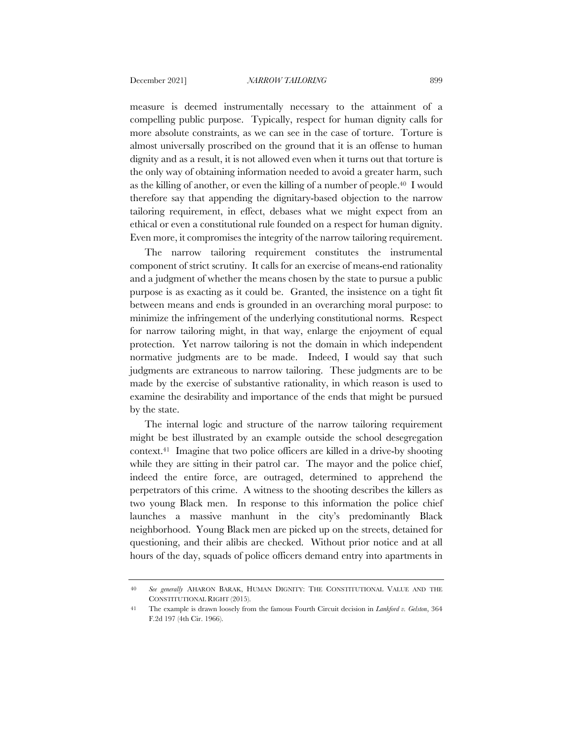measure is deemed instrumentally necessary to the attainment of a compelling public purpose. Typically, respect for human dignity calls for more absolute constraints, as we can see in the case of torture. Torture is almost universally proscribed on the ground that it is an offense to human dignity and as a result, it is not allowed even when it turns out that torture is the only way of obtaining information needed to avoid a greater harm, such as the killing of another, or even the killing of a number of people.40 I would therefore say that appending the dignitary-based objection to the narrow tailoring requirement, in effect, debases what we might expect from an ethical or even a constitutional rule founded on a respect for human dignity. Even more, it compromises the integrity of the narrow tailoring requirement.

The narrow tailoring requirement constitutes the instrumental component of strict scrutiny. It calls for an exercise of means-end rationality and a judgment of whether the means chosen by the state to pursue a public purpose is as exacting as it could be. Granted, the insistence on a tight fit between means and ends is grounded in an overarching moral purpose: to minimize the infringement of the underlying constitutional norms. Respect for narrow tailoring might, in that way, enlarge the enjoyment of equal protection. Yet narrow tailoring is not the domain in which independent normative judgments are to be made. Indeed, I would say that such judgments are extraneous to narrow tailoring. These judgments are to be made by the exercise of substantive rationality, in which reason is used to examine the desirability and importance of the ends that might be pursued by the state.

The internal logic and structure of the narrow tailoring requirement might be best illustrated by an example outside the school desegregation context.41 Imagine that two police officers are killed in a drive-by shooting while they are sitting in their patrol car. The mayor and the police chief, indeed the entire force, are outraged, determined to apprehend the perpetrators of this crime. A witness to the shooting describes the killers as two young Black men. In response to this information the police chief launches a massive manhunt in the city's predominantly Black neighborhood. Young Black men are picked up on the streets, detained for questioning, and their alibis are checked. Without prior notice and at all hours of the day, squads of police officers demand entry into apartments in

<sup>40</sup> *See generally* AHARON BARAK, HUMAN DIGNITY: THE CONSTITUTIONAL VALUE AND THE CONSTITUTIONAL RIGHT (2015).

<sup>41</sup> The example is drawn loosely from the famous Fourth Circuit decision in *Lankford v. Gelston*, 364 F.2d 197 (4th Cir. 1966).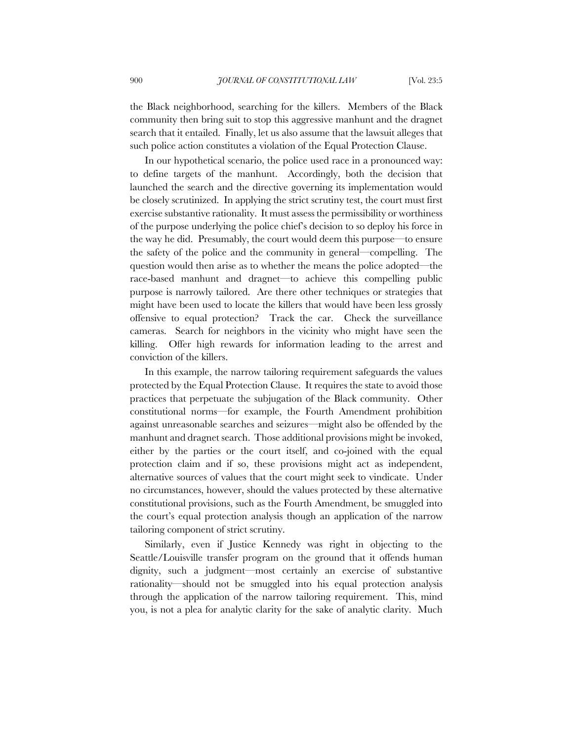the Black neighborhood, searching for the killers. Members of the Black community then bring suit to stop this aggressive manhunt and the dragnet search that it entailed. Finally, let us also assume that the lawsuit alleges that such police action constitutes a violation of the Equal Protection Clause.

In our hypothetical scenario, the police used race in a pronounced way: to define targets of the manhunt. Accordingly, both the decision that launched the search and the directive governing its implementation would be closely scrutinized. In applying the strict scrutiny test, the court must first exercise substantive rationality. It must assess the permissibility or worthiness of the purpose underlying the police chief's decision to so deploy his force in the way he did. Presumably, the court would deem this purpose—to ensure the safety of the police and the community in general—compelling. The question would then arise as to whether the means the police adopted—the race-based manhunt and dragnet—to achieve this compelling public purpose is narrowly tailored. Are there other techniques or strategies that might have been used to locate the killers that would have been less grossly offensive to equal protection? Track the car. Check the surveillance cameras. Search for neighbors in the vicinity who might have seen the killing. Offer high rewards for information leading to the arrest and conviction of the killers.

In this example, the narrow tailoring requirement safeguards the values protected by the Equal Protection Clause. It requires the state to avoid those practices that perpetuate the subjugation of the Black community. Other constitutional norms—for example, the Fourth Amendment prohibition against unreasonable searches and seizures—might also be offended by the manhunt and dragnet search. Those additional provisions might be invoked, either by the parties or the court itself, and co-joined with the equal protection claim and if so, these provisions might act as independent, alternative sources of values that the court might seek to vindicate. Under no circumstances, however, should the values protected by these alternative constitutional provisions, such as the Fourth Amendment, be smuggled into the court's equal protection analysis though an application of the narrow tailoring component of strict scrutiny.

Similarly, even if Justice Kennedy was right in objecting to the Seattle/Louisville transfer program on the ground that it offends human dignity, such a judgment—most certainly an exercise of substantive rationality—should not be smuggled into his equal protection analysis through the application of the narrow tailoring requirement. This, mind you, is not a plea for analytic clarity for the sake of analytic clarity. Much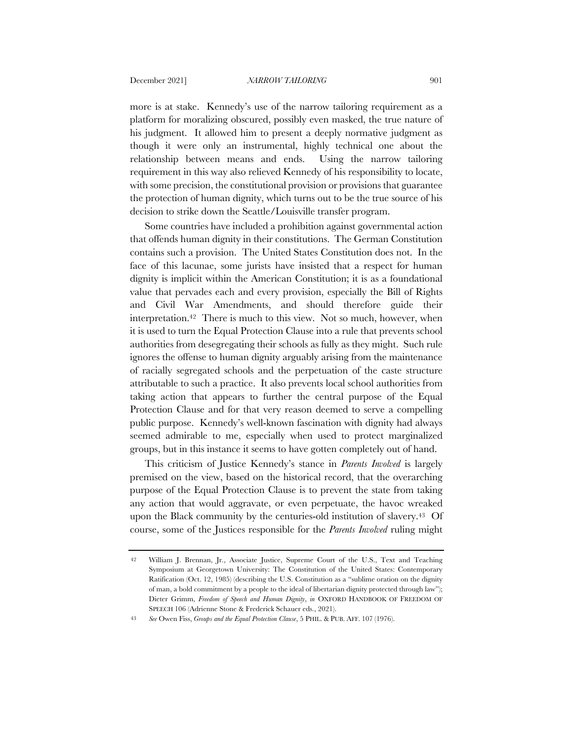more is at stake. Kennedy's use of the narrow tailoring requirement as a platform for moralizing obscured, possibly even masked, the true nature of his judgment. It allowed him to present a deeply normative judgment as though it were only an instrumental, highly technical one about the relationship between means and ends. Using the narrow tailoring requirement in this way also relieved Kennedy of his responsibility to locate, with some precision, the constitutional provision or provisions that guarantee the protection of human dignity, which turns out to be the true source of his decision to strike down the Seattle/Louisville transfer program.

Some countries have included a prohibition against governmental action that offends human dignity in their constitutions. The German Constitution contains such a provision. The United States Constitution does not. In the face of this lacunae, some jurists have insisted that a respect for human dignity is implicit within the American Constitution; it is as a foundational value that pervades each and every provision, especially the Bill of Rights and Civil War Amendments, and should therefore guide their interpretation.42 There is much to this view. Not so much, however, when it is used to turn the Equal Protection Clause into a rule that prevents school authorities from desegregating their schools as fully as they might. Such rule ignores the offense to human dignity arguably arising from the maintenance of racially segregated schools and the perpetuation of the caste structure attributable to such a practice. It also prevents local school authorities from taking action that appears to further the central purpose of the Equal Protection Clause and for that very reason deemed to serve a compelling public purpose. Kennedy's well-known fascination with dignity had always seemed admirable to me, especially when used to protect marginalized groups, but in this instance it seems to have gotten completely out of hand.

This criticism of Justice Kennedy's stance in *Parents Involved* is largely premised on the view, based on the historical record, that the overarching purpose of the Equal Protection Clause is to prevent the state from taking any action that would aggravate, or even perpetuate, the havoc wreaked upon the Black community by the centuries-old institution of slavery.43 Of course, some of the Justices responsible for the *Parents Involved* ruling might

<sup>42</sup> William J. Brennan, Jr., Associate Justice, Supreme Court of the U.S., Text and Teaching Symposium at Georgetown University: The Constitution of the United States: Contemporary Ratification (Oct. 12, 1985) (describing the U.S. Constitution as a "sublime oration on the dignity of man, a bold commitment by a people to the ideal of libertarian dignity protected through law"); Dieter Grimm, *Freedom of Speech and Human Dignity*, *in* OXFORD HANDBOOK OF FREEDOM OF SPEECH 106 (Adrienne Stone & Frederick Schauer eds., 2021).

<sup>43</sup> *See* Owen Fiss, *Groups and the Equal Protection Clause*, 5 PHIL. & PUB. AFF. 107 (1976).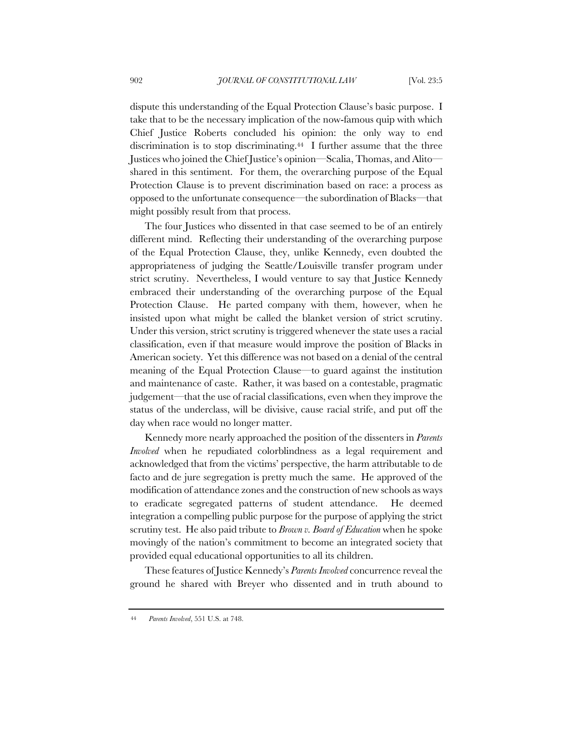dispute this understanding of the Equal Protection Clause's basic purpose. I take that to be the necessary implication of the now-famous quip with which Chief Justice Roberts concluded his opinion: the only way to end discrimination is to stop discriminating.44 I further assume that the three Justices who joined the Chief Justice's opinion—Scalia, Thomas, and Alito shared in this sentiment. For them, the overarching purpose of the Equal Protection Clause is to prevent discrimination based on race: a process as opposed to the unfortunate consequence—the subordination of Blacks—that might possibly result from that process.

The four Justices who dissented in that case seemed to be of an entirely different mind. Reflecting their understanding of the overarching purpose of the Equal Protection Clause, they, unlike Kennedy, even doubted the appropriateness of judging the Seattle/Louisville transfer program under strict scrutiny. Nevertheless, I would venture to say that Justice Kennedy embraced their understanding of the overarching purpose of the Equal Protection Clause. He parted company with them, however, when he insisted upon what might be called the blanket version of strict scrutiny. Under this version, strict scrutiny is triggered whenever the state uses a racial classification, even if that measure would improve the position of Blacks in American society. Yet this difference was not based on a denial of the central meaning of the Equal Protection Clause—to guard against the institution and maintenance of caste. Rather, it was based on a contestable, pragmatic judgement—that the use of racial classifications, even when they improve the status of the underclass, will be divisive, cause racial strife, and put off the day when race would no longer matter.

Kennedy more nearly approached the position of the dissenters in *Parents Involved* when he repudiated colorblindness as a legal requirement and acknowledged that from the victims' perspective, the harm attributable to de facto and de jure segregation is pretty much the same. He approved of the modification of attendance zones and the construction of new schools as ways to eradicate segregated patterns of student attendance. He deemed integration a compelling public purpose for the purpose of applying the strict scrutiny test. He also paid tribute to *Brown v. Board of Education* when he spoke movingly of the nation's commitment to become an integrated society that provided equal educational opportunities to all its children.

These features of Justice Kennedy's *Parents Involved* concurrence reveal the ground he shared with Breyer who dissented and in truth abound to

<sup>44</sup> *Parents Involved*, 551 U.S. at 748.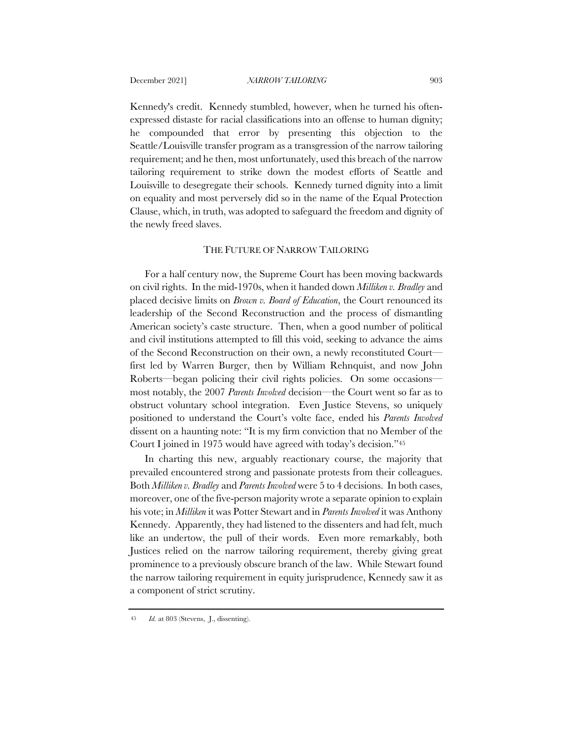Kennedy's credit. Kennedy stumbled, however, when he turned his oftenexpressed distaste for racial classifications into an offense to human dignity; he compounded that error by presenting this objection to the Seattle/Louisville transfer program as a transgression of the narrow tailoring requirement; and he then, most unfortunately, used this breach of the narrow tailoring requirement to strike down the modest efforts of Seattle and Louisville to desegregate their schools. Kennedy turned dignity into a limit on equality and most perversely did so in the name of the Equal Protection Clause, which, in truth, was adopted to safeguard the freedom and dignity of the newly freed slaves.

### THE FUTURE OF NARROW TAILORING

For a half century now, the Supreme Court has been moving backwards on civil rights. In the mid-1970s, when it handed down *Milliken v. Bradley* and placed decisive limits on *Brown v. Board of Education*, the Court renounced its leadership of the Second Reconstruction and the process of dismantling American society's caste structure. Then, when a good number of political and civil institutions attempted to fill this void, seeking to advance the aims of the Second Reconstruction on their own, a newly reconstituted Court first led by Warren Burger, then by William Rehnquist, and now John Roberts—began policing their civil rights policies. On some occasions most notably, the 2007 *Parents Involved* decision—the Court went so far as to obstruct voluntary school integration. Even Justice Stevens, so uniquely positioned to understand the Court's volte face, ended his *Parents Involved*  dissent on a haunting note: "It is my firm conviction that no Member of the Court I joined in 1975 would have agreed with today's decision."45

In charting this new, arguably reactionary course, the majority that prevailed encountered strong and passionate protests from their colleagues. Both *Milliken v. Bradley* and *Parents Involved* were 5 to 4 decisions. In both cases, moreover, one of the five-person majority wrote a separate opinion to explain his vote; in *Milliken* it was Potter Stewart and in *Parents Involved* it was Anthony Kennedy. Apparently, they had listened to the dissenters and had felt, much like an undertow, the pull of their words. Even more remarkably, both Justices relied on the narrow tailoring requirement, thereby giving great prominence to a previously obscure branch of the law. While Stewart found the narrow tailoring requirement in equity jurisprudence, Kennedy saw it as a component of strict scrutiny.

<sup>45</sup> *Id.* at 803 (Stevens, J., dissenting).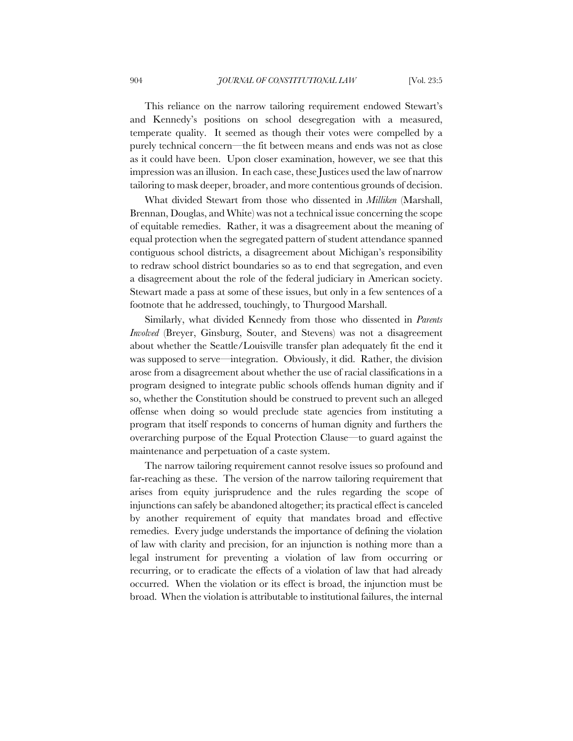This reliance on the narrow tailoring requirement endowed Stewart's and Kennedy's positions on school desegregation with a measured, temperate quality. It seemed as though their votes were compelled by a purely technical concern—the fit between means and ends was not as close as it could have been. Upon closer examination, however, we see that this impression was an illusion. In each case, these Justices used the law of narrow tailoring to mask deeper, broader, and more contentious grounds of decision.

What divided Stewart from those who dissented in *Milliken* (Marshall, Brennan, Douglas, and White) was not a technical issue concerning the scope of equitable remedies. Rather, it was a disagreement about the meaning of equal protection when the segregated pattern of student attendance spanned contiguous school districts, a disagreement about Michigan's responsibility to redraw school district boundaries so as to end that segregation, and even a disagreement about the role of the federal judiciary in American society. Stewart made a pass at some of these issues, but only in a few sentences of a footnote that he addressed, touchingly, to Thurgood Marshall.

Similarly, what divided Kennedy from those who dissented in *Parents Involved* (Breyer, Ginsburg, Souter, and Stevens) was not a disagreement about whether the Seattle/Louisville transfer plan adequately fit the end it was supposed to serve—integration. Obviously, it did. Rather, the division arose from a disagreement about whether the use of racial classifications in a program designed to integrate public schools offends human dignity and if so, whether the Constitution should be construed to prevent such an alleged offense when doing so would preclude state agencies from instituting a program that itself responds to concerns of human dignity and furthers the overarching purpose of the Equal Protection Clause—to guard against the maintenance and perpetuation of a caste system.

The narrow tailoring requirement cannot resolve issues so profound and far-reaching as these. The version of the narrow tailoring requirement that arises from equity jurisprudence and the rules regarding the scope of injunctions can safely be abandoned altogether; its practical effect is canceled by another requirement of equity that mandates broad and effective remedies. Every judge understands the importance of defining the violation of law with clarity and precision, for an injunction is nothing more than a legal instrument for preventing a violation of law from occurring or recurring, or to eradicate the effects of a violation of law that had already occurred. When the violation or its effect is broad, the injunction must be broad. When the violation is attributable to institutional failures, the internal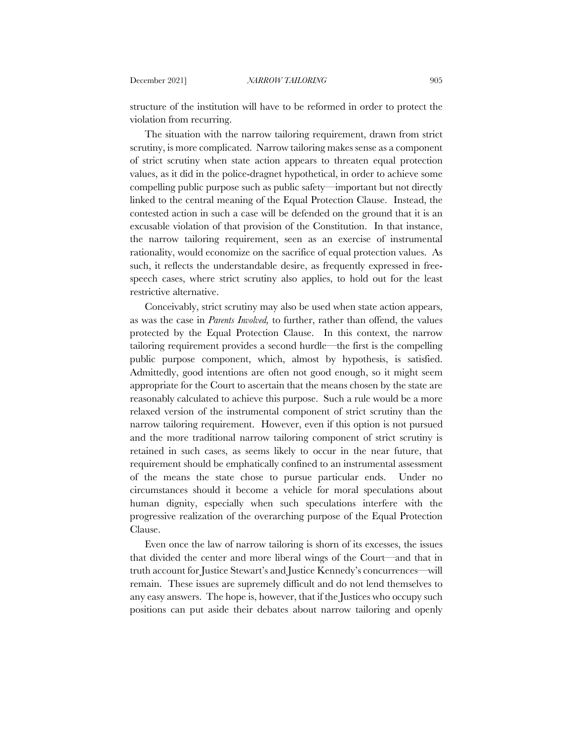structure of the institution will have to be reformed in order to protect the violation from recurring.

The situation with the narrow tailoring requirement, drawn from strict scrutiny, is more complicated. Narrow tailoring makes sense as a component of strict scrutiny when state action appears to threaten equal protection values, as it did in the police-dragnet hypothetical, in order to achieve some compelling public purpose such as public safety—important but not directly linked to the central meaning of the Equal Protection Clause. Instead, the contested action in such a case will be defended on the ground that it is an excusable violation of that provision of the Constitution. In that instance, the narrow tailoring requirement, seen as an exercise of instrumental rationality, would economize on the sacrifice of equal protection values. As such, it reflects the understandable desire, as frequently expressed in freespeech cases, where strict scrutiny also applies, to hold out for the least restrictive alternative.

Conceivably, strict scrutiny may also be used when state action appears, as was the case in *Parents Involved,* to further, rather than offend, the values protected by the Equal Protection Clause. In this context, the narrow tailoring requirement provides a second hurdle—the first is the compelling public purpose component, which, almost by hypothesis, is satisfied. Admittedly, good intentions are often not good enough, so it might seem appropriate for the Court to ascertain that the means chosen by the state are reasonably calculated to achieve this purpose. Such a rule would be a more relaxed version of the instrumental component of strict scrutiny than the narrow tailoring requirement. However, even if this option is not pursued and the more traditional narrow tailoring component of strict scrutiny is retained in such cases, as seems likely to occur in the near future, that requirement should be emphatically confined to an instrumental assessment of the means the state chose to pursue particular ends. Under no circumstances should it become a vehicle for moral speculations about human dignity, especially when such speculations interfere with the progressive realization of the overarching purpose of the Equal Protection Clause.

Even once the law of narrow tailoring is shorn of its excesses, the issues that divided the center and more liberal wings of the Court—and that in truth account for Justice Stewart's and Justice Kennedy's concurrences—will remain. These issues are supremely difficult and do not lend themselves to any easy answers. The hope is, however, that if the Justices who occupy such positions can put aside their debates about narrow tailoring and openly